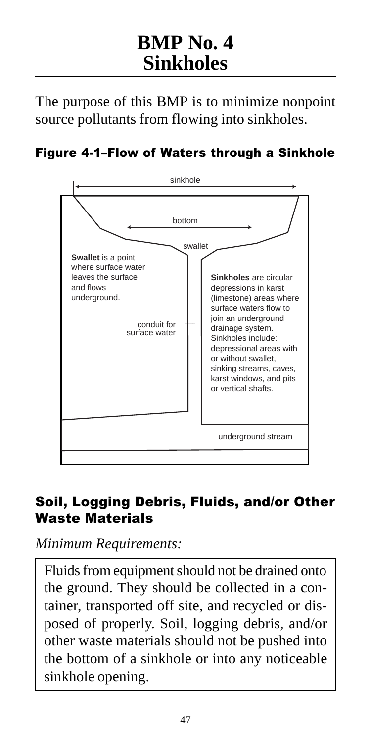# **BMP No. 4 Sinkholes**

The purpose of this BMP is to minimize nonpoint source pollutants from flowing into sinkholes.

#### Figure 4-1-Flow of Waters through a Sinkhole



### Soil, Logging Debris, Fluids, and/or Other Waste Materials

*Minimum Requirements:*

Fluids from equipment should not be drained onto the ground. They should be collected in a container, transported off site, and recycled or disposed of properly. Soil, logging debris, and/or other waste materials should not be pushed into the bottom of a sinkhole or into any noticeable sinkhole opening.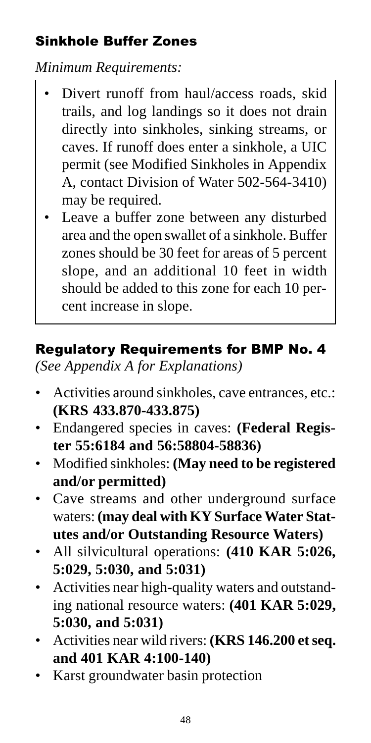## Sinkhole Buffer Zones

*Minimum Requirements:*

- Divert runoff from haul/access roads, skid trails, and log landings so it does not drain directly into sinkholes, sinking streams, or caves. If runoff does enter a sinkhole, a UIC permit (see Modified Sinkholes in Appendix A, contact Division of Water 502-564-3410) may be required.
- Leave a buffer zone between any disturbed area and the open swallet of a sinkhole. Buffer zones should be 30 feet for areas of 5 percent slope, and an additional 10 feet in width should be added to this zone for each 10 percent increase in slope.

## Regulatory Requirements for BMP No. 4

*(See Appendix A for Explanations)*

- Activities around sinkholes, cave entrances, etc.: **(KRS 433.870-433.875)**
- Endangered species in caves: **(Federal Register 55:6184 and 56:58804-58836)**
- Modified sinkholes: **(May need to be registered and/or permitted)**
- Cave streams and other underground surface waters: **(may deal with KY Surface Water Statutes and/or Outstanding Resource Waters)**
- All silvicultural operations: **(410 KAR 5:026, 5:029, 5:030, and 5:031)**
- Activities near high-quality waters and outstanding national resource waters: **(401 KAR 5:029, 5:030, and 5:031)**
- Activities near wild rivers: **(KRS 146.200 et seq. and 401 KAR 4:100-140)**
- Karst groundwater basin protection